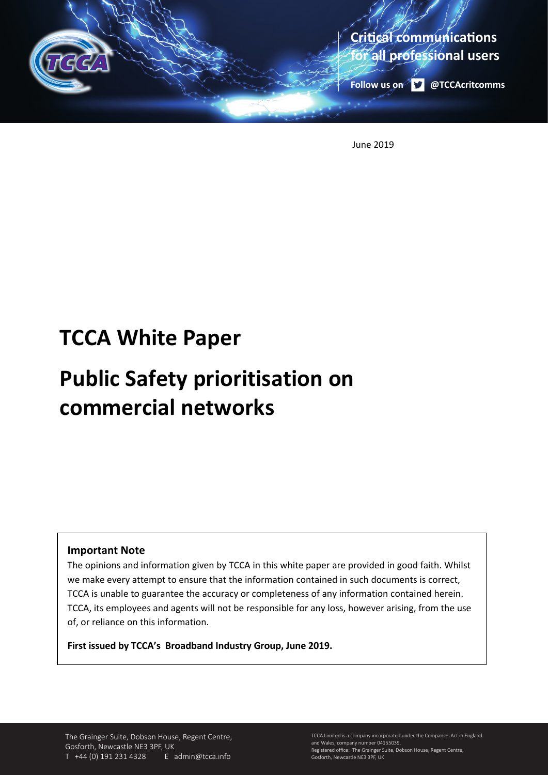

June 2019

# **TCCA White Paper**

# **Public Safety prioritisation on commercial networks**

# **Important Note**

The opinions and information given by TCCA in this white paper are provided in good faith. Whilst we make every attempt to ensure that the information contained in such documents is correct, TCCA is unable to guarantee the accuracy or completeness of any information contained herein. TCCA, its employees and agents will not be responsible for any loss, however arising, from the use of, or reliance on this information.

**First issued by TCCA's Broadband Industry Group, June 2019.** 

The Grainger Suite, Dobson House, Regent Centre, Gosforth, Newcastle NE3 3PF, UK T +44 (0) 191 231 4328 E admin@tcca.info

TCCA Limited is a company incorporated under the Companies Act in England and Wales, company number 04155039. Registered office: The Grainger Suite, Dobson House, Regent Centre, Gosforth, Newcastle NE3 3PF, UK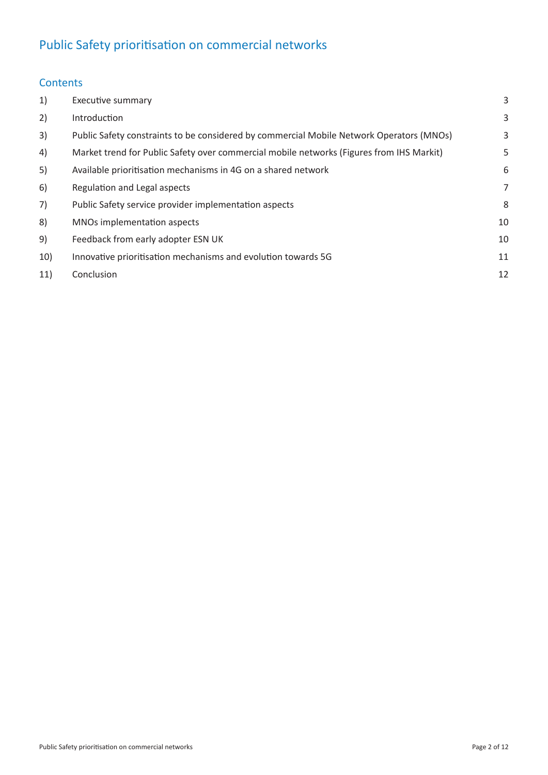# Public Safety prioritisation on commercial networks

# **Contents**

| 1)  | Executive summary                                                                        | 3              |
|-----|------------------------------------------------------------------------------------------|----------------|
| 2)  | Introduction                                                                             | 3              |
| 3)  | Public Safety constraints to be considered by commercial Mobile Network Operators (MNOs) | 3              |
| 4)  | Market trend for Public Safety over commercial mobile networks (Figures from IHS Markit) | 5              |
| 5)  | Available prioritisation mechanisms in 4G on a shared network                            | 6              |
| 6)  | Regulation and Legal aspects                                                             | $\overline{7}$ |
| 7)  | Public Safety service provider implementation aspects                                    | 8              |
| 8)  | MNOs implementation aspects                                                              | 10             |
| 9)  | Feedback from early adopter ESN UK                                                       | 10             |
| 10) | Innovative prioritisation mechanisms and evolution towards 5G                            | 11             |
| 11) | Conclusion                                                                               | 12             |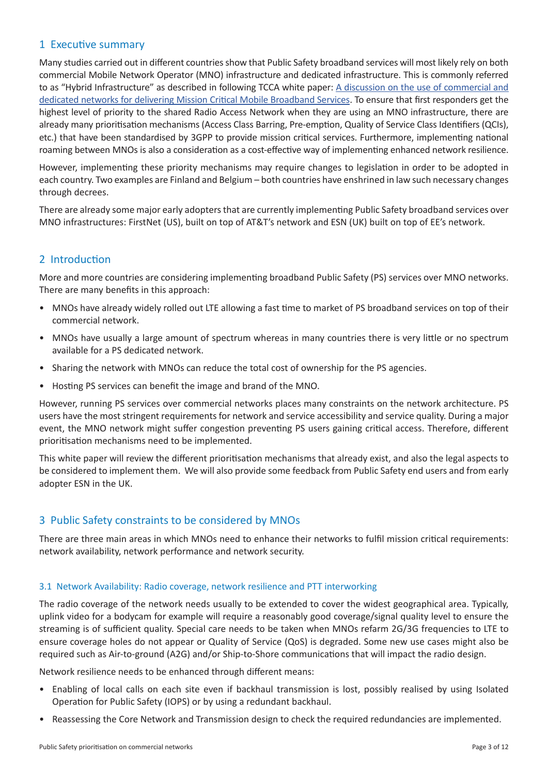# 1 Executive summary

Many studies carried out in different countries show that Public Safety broadband services will most likely rely on both commercial Mobile Network Operator (MNO) infrastructure and dedicated infrastructure. This is commonly referred to as "Hybrid Infrastructure" as described in following TCCA white paper: A discussion on the use of commercial and dedicated networks for delivering Mission Critical Mobile Broadband Services. To ensure that first responders get the highest level of priority to the shared Radio Access Network when they are using an MNO infrastructure, there are already many prioritisation mechanisms (Access Class Barring, Pre-emption, Quality of Service Class Identifiers (QCIs), etc.) that have been standardised by 3GPP to provide mission critical services. Furthermore, implementing national roaming between MNOs is also a consideration as a cost-effective way of implementing enhanced network resilience.

However, implementing these priority mechanisms may require changes to legislation in order to be adopted in each country. Two examples are Finland and Belgium – both countries have enshrined in law such necessary changes through decrees.

There are already some major early adopters that are currently implementing Public Safety broadband services over MNO infrastructures: FirstNet (US), built on top of AT&T's network and ESN (UK) built on top of EE's network.

# 2 Introduction

More and more countries are considering implementing broadband Public Safety (PS) services over MNO networks. There are many benefits in this approach:

- MNOs have already widely rolled out LTE allowing a fast time to market of PS broadband services on top of their commercial network.
- MNOs have usually a large amount of spectrum whereas in many countries there is very little or no spectrum available for a PS dedicated network.
- Sharing the network with MNOs can reduce the total cost of ownership for the PS agencies.
- Hosting PS services can benefit the image and brand of the MNO.

However, running PS services over commercial networks places many constraints on the network architecture. PS users have the most stringent requirements for network and service accessibility and service quality. During a major event, the MNO network might suffer congestion preventing PS users gaining critical access. Therefore, different prioritisation mechanisms need to be implemented.

This white paper will review the different prioritisation mechanisms that already exist, and also the legal aspects to be considered to implement them. We will also provide some feedback from Public Safety end users and from early adopter ESN in the UK.

# 3 Public Safety constraints to be considered by MNOs

There are three main areas in which MNOs need to enhance their networks to fulfil mission critical requirements: network availability, network performance and network security.

#### 3.1 Network Availability: Radio coverage, network resilience and PTT interworking

The radio coverage of the network needs usually to be extended to cover the widest geographical area. Typically, uplink video for a bodycam for example will require a reasonably good coverage/signal quality level to ensure the streaming is of sufficient quality. Special care needs to be taken when MNOs refarm 2G/3G frequencies to LTE to ensure coverage holes do not appear or Quality of Service (QoS) is degraded. Some new use cases might also be required such as Air-to-ground (A2G) and/or Ship-to-Shore communications that will impact the radio design.

Network resilience needs to be enhanced through different means:

- Enabling of local calls on each site even if backhaul transmission is lost, possibly realised by using Isolated Operation for Public Safety (IOPS) or by using a redundant backhaul.
- Reassessing the Core Network and Transmission design to check the required redundancies are implemented.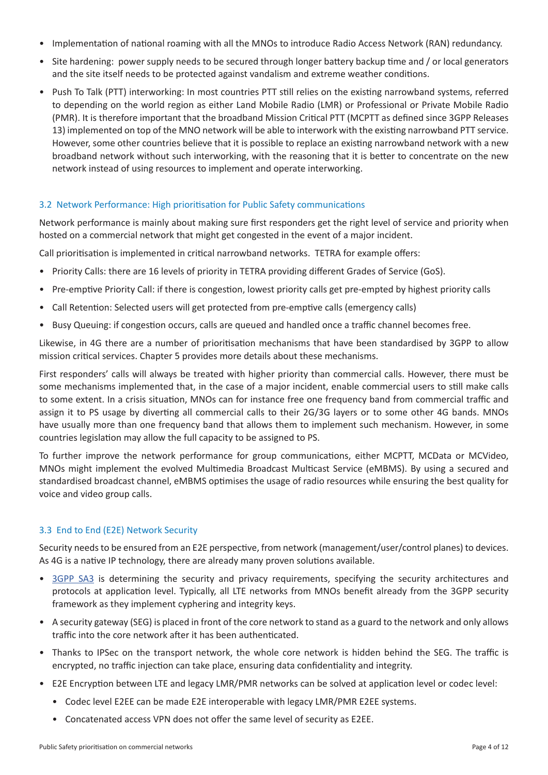- Implementation of national roaming with all the MNOs to introduce Radio Access Network (RAN) redundancy.
- Site hardening: power supply needs to be secured through longer battery backup time and / or local generators and the site itself needs to be protected against vandalism and extreme weather conditions.
- Push To Talk (PTT) interworking: In most countries PTT still relies on the existing narrowband systems, referred to depending on the world region as either Land Mobile Radio (LMR) or Professional or Private Mobile Radio (PMR). It is therefore important that the broadband Mission Critical PTT (MCPTT as defined since 3GPP Releases 13) implemented on top of the MNO network will be able to interwork with the existing narrowband PTT service. However, some other countries believe that it is possible to replace an existing narrowband network with a new broadband network without such interworking, with the reasoning that it is better to concentrate on the new network instead of using resources to implement and operate interworking.

#### 3.2 Network Performance: High prioritisation for Public Safety communications

Network performance is mainly about making sure first responders get the right level of service and priority when hosted on a commercial network that might get congested in the event of a major incident.

Call prioritisation is implemented in critical narrowband networks. TETRA for example offers:

- Priority Calls: there are 16 levels of priority in TETRA providing different Grades of Service (GoS).
- Pre-emptive Priority Call: if there is congestion, lowest priority calls get pre-empted by highest priority calls
- Call Retention: Selected users will get protected from pre-emptive calls (emergency calls)
- Busy Queuing: if congestion occurs, calls are queued and handled once a traffic channel becomes free.

Likewise, in 4G there are a number of prioritisation mechanisms that have been standardised by 3GPP to allow mission critical services. Chapter 5 provides more details about these mechanisms.

First responders' calls will always be treated with higher priority than commercial calls. However, there must be some mechanisms implemented that, in the case of a major incident, enable commercial users to still make calls to some extent. In a crisis situation, MNOs can for instance free one frequency band from commercial traffic and assign it to PS usage by diverting all commercial calls to their 2G/3G layers or to some other 4G bands. MNOs have usually more than one frequency band that allows them to implement such mechanism. However, in some countries legislation may allow the full capacity to be assigned to PS.

To further improve the network performance for group communications, either MCPTT, MCData or MCVideo, MNOs might implement the evolved Multimedia Broadcast Multicast Service (eMBMS). By using a secured and standardised broadcast channel, eMBMS optimises the usage of radio resources while ensuring the best quality for voice and video group calls.

#### 3.3 End to End (E2E) Network Security

Security needs to be ensured from an E2E perspective, from network (management/user/control planes) to devices. As 4G is a native IP technology, there are already many proven solutions available.

- 3GPP SA3 is determining the security and privacy requirements, specifying the security architectures and protocols at application level. Typically, all LTE networks from MNOs benefit already from the 3GPP security framework as they implement cyphering and integrity keys.
- A security gateway (SEG) is placed in front of the core network to stand as a guard to the network and only allows traffic into the core network after it has been authenticated.
- Thanks to IPSec on the transport network, the whole core network is hidden behind the SEG. The traffic is encrypted, no traffic injection can take place, ensuring data confidentiality and integrity.
- E2E Encryption between LTE and legacy LMR/PMR networks can be solved at application level or codec level:
	- Codec level E2EE can be made E2E interoperable with legacy LMR/PMR E2EE systems.
	- Concatenated access VPN does not offer the same level of security as E2EE.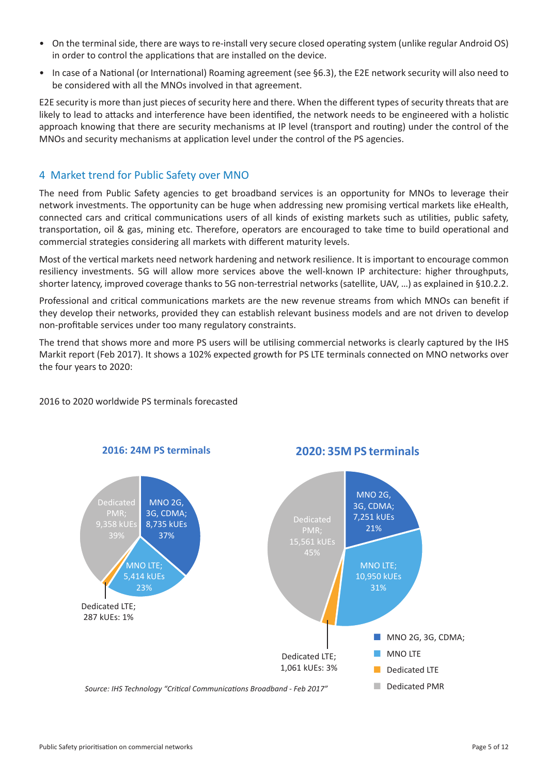- On the terminal side, there are ways to re-install very secure closed operating system (unlike regular Android OS) in order to control the applications that are installed on the device.
- In case of a National (or International) Roaming agreement (see §6.3), the E2E network security will also need to be considered with all the MNOs involved in that agreement.

E2E security is more than just pieces of security here and there. When the different types of security threats that are likely to lead to attacks and interference have been identified, the network needs to be engineered with a holistic approach knowing that there are security mechanisms at IP level (transport and routing) under the control of the MNOs and security mechanisms at application level under the control of the PS agencies.

# 4 Market trend for Public Safety over MNO

The need from Public Safety agencies to get broadband services is an opportunity for MNOs to leverage their network investments. The opportunity can be huge when addressing new promising vertical markets like eHealth, connected cars and critical communications users of all kinds of existing markets such as utilities, public safety, transportation, oil & gas, mining etc. Therefore, operators are encouraged to take time to build operational and commercial strategies considering all markets with different maturity levels.

Most of the vertical markets need network hardening and network resilience. It is important to encourage common resiliency investments. 5G will allow more services above the well-known IP architecture: higher throughputs, shorter latency, improved coverage thanks to 5G non-terrestrial networks (satellite, UAV, …) as explained in §10.2.2.

Professional and critical communications markets are the new revenue streams from which MNOs can benefit if they develop their networks, provided they can establish relevant business models and are not driven to develop non-profitable services under too many regulatory constraints.

The trend that shows more and more PS users will be utilising commercial networks is clearly captured by the IHS Markit report (Feb 2017). It shows a 102% expected growth for PS LTE terminals connected on MNO networks over the four years to 2020:

#### 2016 to 2020 worldwide PS terminals forecasted

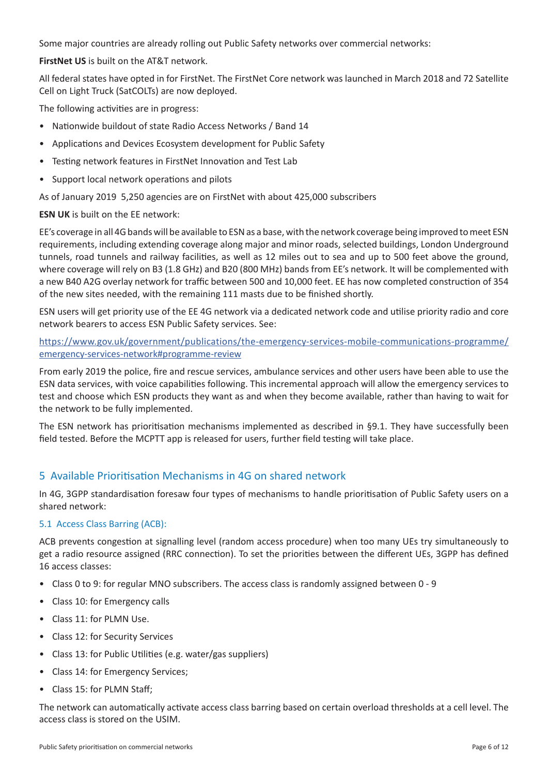Some major countries are already rolling out Public Safety networks over commercial networks:

**FirstNet US** is built on the AT&T network.

All federal states have opted in for FirstNet. The FirstNet Core network was launched in March 2018 and 72 Satellite Cell on Light Truck (SatCOLTs) are now deployed.

The following activities are in progress:

- Nationwide buildout of state Radio Access Networks / Band 14
- Applications and Devices Ecosystem development for Public Safety
- Testing network features in FirstNet Innovation and Test Lab
- Support local network operations and pilots

As of January 2019 5,250 agencies are on FirstNet with about 425,000 subscribers

**ESN UK** is built on the EE network:

EE's coverage in all 4G bands will be available to ESN as a base, with the network coverage being improved to meet ESN requirements, including extending coverage along major and minor roads, selected buildings, London Underground tunnels, road tunnels and railway facilities, as well as 12 miles out to sea and up to 500 feet above the ground, where coverage will rely on B3 (1.8 GHz) and B20 (800 MHz) bands from EE's network. It will be complemented with a new B40 A2G overlay network for traffic between 500 and 10,000 feet. EE has now completed construction of 354 of the new sites needed, with the remaining 111 masts due to be finished shortly.

ESN users will get priority use of the EE 4G network via a dedicated network code and utilise priority radio and core network bearers to access ESN Public Safety services. See:

https://www.gov.uk/government/publications/the-emergency-services-mobile-communications-programme/ emergency-services-network#programme-review

From early 2019 the police, fire and rescue services, ambulance services and other users have been able to use the ESN data services, with voice capabilities following. This incremental approach will allow the emergency services to test and choose which ESN products they want as and when they become available, rather than having to wait for the network to be fully implemented.

The ESN network has prioritisation mechanisms implemented as described in §9.1. They have successfully been field tested. Before the MCPTT app is released for users, further field testing will take place.

# 5 Available Prioritisation Mechanisms in 4G on shared network

In 4G, 3GPP standardisation foresaw four types of mechanisms to handle prioritisation of Public Safety users on a shared network:

#### 5.1 Access Class Barring (ACB):

ACB prevents congestion at signalling level (random access procedure) when too many UEs try simultaneously to get a radio resource assigned (RRC connection). To set the priorities between the different UEs, 3GPP has defined 16 access classes:

- Class 0 to 9: for regular MNO subscribers. The access class is randomly assigned between 0 9
- Class 10: for Emergency calls
- Class 11: for PLMN Use.
- Class 12: for Security Services
- Class 13: for Public Utilities (e.g. water/gas suppliers)
- Class 14: for Emergency Services;
- Class 15: for PLMN Staff;

The network can automatically activate access class barring based on certain overload thresholds at a cell level. The access class is stored on the USIM.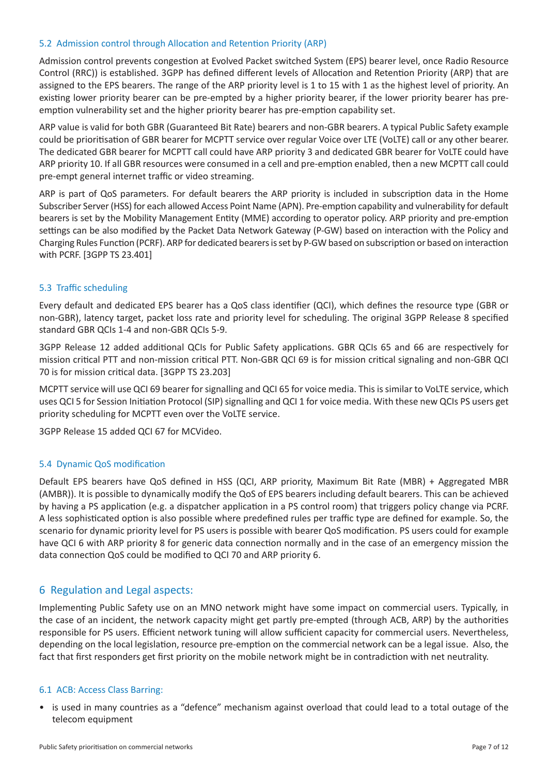#### 5.2 Admission control through Allocation and Retention Priority (ARP)

Admission control prevents congestion at Evolved Packet switched System (EPS) bearer level, once Radio Resource Control (RRC)) is established. 3GPP has defined different levels of Allocation and Retention Priority (ARP) that are assigned to the EPS bearers. The range of the ARP priority level is 1 to 15 with 1 as the highest level of priority. An existing lower priority bearer can be pre-empted by a higher priority bearer, if the lower priority bearer has preemption vulnerability set and the higher priority bearer has pre-emption capability set.

ARP value is valid for both GBR (Guaranteed Bit Rate) bearers and non-GBR bearers. A typical Public Safety example could be prioritisation of GBR bearer for MCPTT service over regular Voice over LTE (VoLTE) call or any other bearer. The dedicated GBR bearer for MCPTT call could have ARP priority 3 and dedicated GBR bearer for VoLTE could have ARP priority 10. If all GBR resources were consumed in a cell and pre-emption enabled, then a new MCPTT call could pre-empt general internet traffic or video streaming.

ARP is part of QoS parameters. For default bearers the ARP priority is included in subscription data in the Home Subscriber Server (HSS) for each allowed Access Point Name (APN). Pre-emption capability and vulnerability for default bearers is set by the Mobility Management Entity (MME) according to operator policy. ARP priority and pre-emption settings can be also modified by the Packet Data Network Gateway (P-GW) based on interaction with the Policy and Charging Rules Function (PCRF). ARP for dedicated bearers is set by P-GW based on subscription or based on interaction with PCRF. [3GPP TS 23.401]

#### 5.3 Traffic scheduling

Every default and dedicated EPS bearer has a QoS class identifier (QCI), which defines the resource type (GBR or non-GBR), latency target, packet loss rate and priority level for scheduling. The original 3GPP Release 8 specified standard GBR QCIs 1-4 and non-GBR QCIs 5-9.

3GPP Release 12 added additional QCIs for Public Safety applications. GBR QCIs 65 and 66 are respectively for mission critical PTT and non-mission critical PTT. Non-GBR QCI 69 is for mission critical signaling and non-GBR QCI 70 is for mission critical data. [3GPP TS 23.203]

MCPTT service will use QCI 69 bearer for signalling and QCI 65 for voice media. This is similar to VoLTE service, which uses QCI 5 for Session Initiation Protocol (SIP) signalling and QCI 1 for voice media. With these new QCIs PS users get priority scheduling for MCPTT even over the VoLTE service.

3GPP Release 15 added QCI 67 for MCVideo.

#### 5.4 Dynamic QoS modification

Default EPS bearers have QoS defined in HSS (QCI, ARP priority, Maximum Bit Rate (MBR) + Aggregated MBR (AMBR)). It is possible to dynamically modify the QoS of EPS bearers including default bearers. This can be achieved by having a PS application (e.g. a dispatcher application in a PS control room) that triggers policy change via PCRF. A less sophisticated option is also possible where predefined rules per traffic type are defined for example. So, the scenario for dynamic priority level for PS users is possible with bearer QoS modification. PS users could for example have QCI 6 with ARP priority 8 for generic data connection normally and in the case of an emergency mission the data connection QoS could be modified to QCI 70 and ARP priority 6.

# 6 Regulation and Legal aspects:

Implementing Public Safety use on an MNO network might have some impact on commercial users. Typically, in the case of an incident, the network capacity might get partly pre-empted (through ACB, ARP) by the authorities responsible for PS users. Efficient network tuning will allow sufficient capacity for commercial users. Nevertheless, depending on the local legislation, resource pre-emption on the commercial network can be a legal issue. Also, the fact that first responders get first priority on the mobile network might be in contradiction with net neutrality.

#### 6.1 ACB: Access Class Barring:

• is used in many countries as a "defence" mechanism against overload that could lead to a total outage of the telecom equipment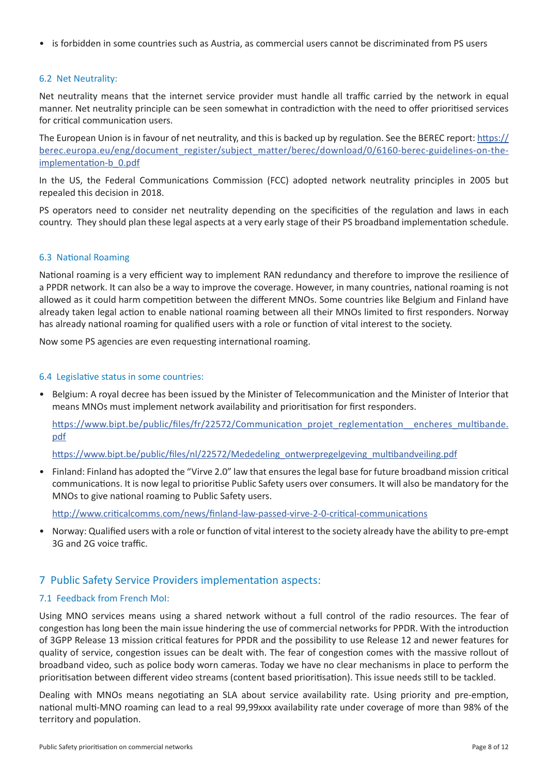• is forbidden in some countries such as Austria, as commercial users cannot be discriminated from PS users

#### 6.2 Net Neutrality:

Net neutrality means that the internet service provider must handle all traffic carried by the network in equal manner. Net neutrality principle can be seen somewhat in contradiction with the need to offer prioritised services for critical communication users.

The European Union is in favour of net neutrality, and this is backed up by regulation. See the BEREC report: https:// berec.europa.eu/eng/document\_register/subject\_matter/berec/download/0/6160-berec-guidelines-on-theimplementation-b\_0.pdf

In the US, the Federal Communications Commission (FCC) adopted network neutrality principles in 2005 but repealed this decision in 2018.

PS operators need to consider net neutrality depending on the specificities of the regulation and laws in each country. They should plan these legal aspects at a very early stage of their PS broadband implementation schedule.

#### 6.3 National Roaming

National roaming is a very efficient way to implement RAN redundancy and therefore to improve the resilience of a PPDR network. It can also be a way to improve the coverage. However, in many countries, national roaming is not allowed as it could harm competition between the different MNOs. Some countries like Belgium and Finland have already taken legal action to enable national roaming between all their MNOs limited to first responders. Norway has already national roaming for qualified users with a role or function of vital interest to the society.

Now some PS agencies are even requesting international roaming.

#### 6.4 Legislative status in some countries:

• Belgium: A royal decree has been issued by the Minister of Telecommunication and the Minister of Interior that means MNOs must implement network availability and prioritisation for first responders.

https://www.bipt.be/public/files/fr/22572/Communication\_projet\_reglementation\_encheres\_multibande. pdf

https://www.bipt.be/public/files/nl/22572/Mededeling\_ontwerpregelgeving\_multibandveiling.pdf

• Finland: Finland has adopted the "Virve 2.0" law that ensures the legal base for future broadband mission critical communications. It is now legal to prioritise Public Safety users over consumers. It will also be mandatory for the MNOs to give national roaming to Public Safety users.

http://www.criticalcomms.com/news/finland-law-passed-virve-2-0-critical-communications

• Norway: Qualified users with a role or function of vital interest to the society already have the ability to pre-empt 3G and 2G voice traffic.

# 7 Public Safety Service Providers implementation aspects:

#### 7.1 Feedback from French MoI:

Using MNO services means using a shared network without a full control of the radio resources. The fear of congestion has long been the main issue hindering the use of commercial networks for PPDR. With the introduction of 3GPP Release 13 mission critical features for PPDR and the possibility to use Release 12 and newer features for quality of service, congestion issues can be dealt with. The fear of congestion comes with the massive rollout of broadband video, such as police body worn cameras. Today we have no clear mechanisms in place to perform the prioritisation between different video streams (content based prioritisation). This issue needs still to be tackled.

Dealing with MNOs means negotiating an SLA about service availability rate. Using priority and pre-emption, national multi-MNO roaming can lead to a real 99,99xxx availability rate under coverage of more than 98% of the territory and population.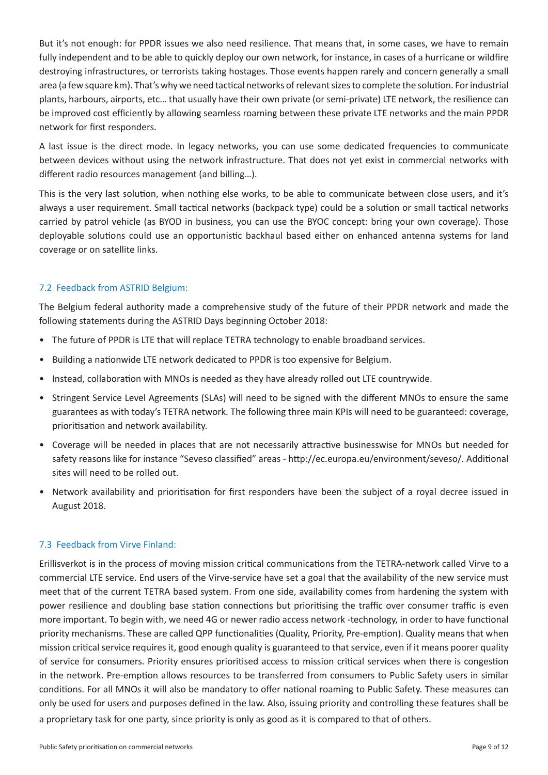But it's not enough: for PPDR issues we also need resilience. That means that, in some cases, we have to remain fully independent and to be able to quickly deploy our own network, for instance, in cases of a hurricane or wildfire destroying infrastructures, or terrorists taking hostages. Those events happen rarely and concern generally a small area (a few square km). That's why we need tactical networks of relevant sizes to complete the solution. For industrial plants, harbours, airports, etc… that usually have their own private (or semi-private) LTE network, the resilience can be improved cost efficiently by allowing seamless roaming between these private LTE networks and the main PPDR network for first responders.

A last issue is the direct mode. In legacy networks, you can use some dedicated frequencies to communicate between devices without using the network infrastructure. That does not yet exist in commercial networks with different radio resources management (and billing…).

This is the very last solution, when nothing else works, to be able to communicate between close users, and it's always a user requirement. Small tactical networks (backpack type) could be a solution or small tactical networks carried by patrol vehicle (as BYOD in business, you can use the BYOC concept: bring your own coverage). Those deployable solutions could use an opportunistic backhaul based either on enhanced antenna systems for land coverage or on satellite links.

# 7.2 Feedback from ASTRID Belgium:

The Belgium federal authority made a comprehensive study of the future of their PPDR network and made the following statements during the ASTRID Days beginning October 2018:

- The future of PPDR is LTE that will replace TETRA technology to enable broadband services.
- Building a nationwide LTE network dedicated to PPDR is too expensive for Belgium.
- Instead, collaboration with MNOs is needed as they have already rolled out LTE countrywide.
- Stringent Service Level Agreements (SLAs) will need to be signed with the different MNOs to ensure the same guarantees as with today's TETRA network. The following three main KPIs will need to be guaranteed: coverage, prioritisation and network availability.
- Coverage will be needed in places that are not necessarily attractive businesswise for MNOs but needed for safety reasons like for instance "Seveso classified" areas - http://ec.europa.eu/environment/seveso/. Additional sites will need to be rolled out.
- Network availability and prioritisation for first responders have been the subject of a royal decree issued in August 2018.

# 7.3 Feedback from Virve Finland:

Erillisverkot is in the process of moving mission critical communications from the TETRA-network called Virve to a commercial LTE service. End users of the Virve-service have set a goal that the availability of the new service must meet that of the current TETRA based system. From one side, availability comes from hardening the system with power resilience and doubling base station connections but prioritising the traffic over consumer traffic is even more important. To begin with, we need 4G or newer radio access network -technology, in order to have functional priority mechanisms. These are called QPP functionalities (Quality, Priority, Pre-emption). Quality means that when mission critical service requires it, good enough quality is guaranteed to that service, even if it means poorer quality of service for consumers. Priority ensures prioritised access to mission critical services when there is congestion in the network. Pre-emption allows resources to be transferred from consumers to Public Safety users in similar conditions. For all MNOs it will also be mandatory to offer national roaming to Public Safety. These measures can only be used for users and purposes defined in the law. Also, issuing priority and controlling these features shall be a proprietary task for one party, since priority is only as good as it is compared to that of others.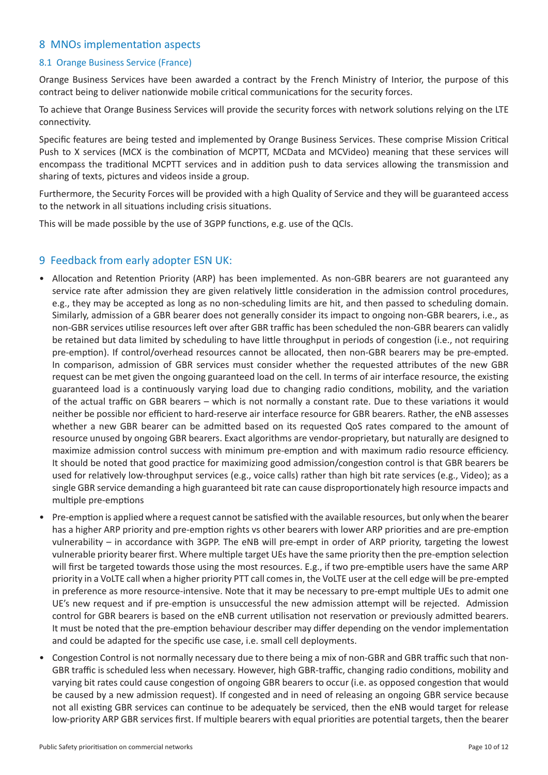# 8 MNOs implementation aspects

#### 8.1 Orange Business Service (France)

Orange Business Services have been awarded a contract by the French Ministry of Interior, the purpose of this contract being to deliver nationwide mobile critical communications for the security forces.

To achieve that Orange Business Services will provide the security forces with network solutions relying on the LTE connectivity.

Specific features are being tested and implemented by Orange Business Services. These comprise Mission Critical Push to X services (MCX is the combination of MCPTT, MCData and MCVideo) meaning that these services will encompass the traditional MCPTT services and in addition push to data services allowing the transmission and sharing of texts, pictures and videos inside a group.

Furthermore, the Security Forces will be provided with a high Quality of Service and they will be guaranteed access to the network in all situations including crisis situations.

This will be made possible by the use of 3GPP functions, e.g. use of the QCIs.

# 9 Feedback from early adopter ESN UK:

- Allocation and Retention Priority (ARP) has been implemented. As non-GBR bearers are not guaranteed any service rate after admission they are given relatively little consideration in the admission control procedures, e.g., they may be accepted as long as no non-scheduling limits are hit, and then passed to scheduling domain. Similarly, admission of a GBR bearer does not generally consider its impact to ongoing non-GBR bearers, i.e., as non-GBR services utilise resources left over after GBR traffic has been scheduled the non-GBR bearers can validly be retained but data limited by scheduling to have little throughput in periods of congestion (i.e., not requiring pre-emption). If control/overhead resources cannot be allocated, then non-GBR bearers may be pre-empted. In comparison, admission of GBR services must consider whether the requested attributes of the new GBR request can be met given the ongoing guaranteed load on the cell. In terms of air interface resource, the existing guaranteed load is a continuously varying load due to changing radio conditions, mobility, and the variation of the actual traffic on GBR bearers – which is not normally a constant rate. Due to these variations it would neither be possible nor efficient to hard-reserve air interface resource for GBR bearers. Rather, the eNB assesses whether a new GBR bearer can be admitted based on its requested QoS rates compared to the amount of resource unused by ongoing GBR bearers. Exact algorithms are vendor-proprietary, but naturally are designed to maximize admission control success with minimum pre-emption and with maximum radio resource efficiency. It should be noted that good practice for maximizing good admission/congestion control is that GBR bearers be used for relatively low-throughput services (e.g., voice calls) rather than high bit rate services (e.g., Video); as a single GBR service demanding a high guaranteed bit rate can cause disproportionately high resource impacts and multiple pre-emptions
- Pre-emption is applied where a request cannot be satisfied with the available resources, but only when the bearer has a higher ARP priority and pre-emption rights vs other bearers with lower ARP priorities and are pre-emption vulnerability – in accordance with 3GPP. The eNB will pre-empt in order of ARP priority, targeting the lowest vulnerable priority bearer first. Where multiple target UEs have the same priority then the pre-emption selection will first be targeted towards those using the most resources. E.g., if two pre-emptible users have the same ARP priority in a VoLTE call when a higher priority PTT call comes in, the VoLTE user at the cell edge will be pre-empted in preference as more resource-intensive. Note that it may be necessary to pre-empt multiple UEs to admit one UE's new request and if pre-emption is unsuccessful the new admission attempt will be rejected. Admission control for GBR bearers is based on the eNB current utilisation not reservation or previously admitted bearers. It must be noted that the pre-emption behaviour describer may differ depending on the vendor implementation and could be adapted for the specific use case, i.e. small cell deployments.
- Congestion Control is not normally necessary due to there being a mix of non-GBR and GBR traffic such that non-GBR traffic is scheduled less when necessary. However, high GBR-traffic, changing radio conditions, mobility and varying bit rates could cause congestion of ongoing GBR bearers to occur (i.e. as opposed congestion that would be caused by a new admission request). If congested and in need of releasing an ongoing GBR service because not all existing GBR services can continue to be adequately be serviced, then the eNB would target for release low-priority ARP GBR services first. If multiple bearers with equal priorities are potential targets, then the bearer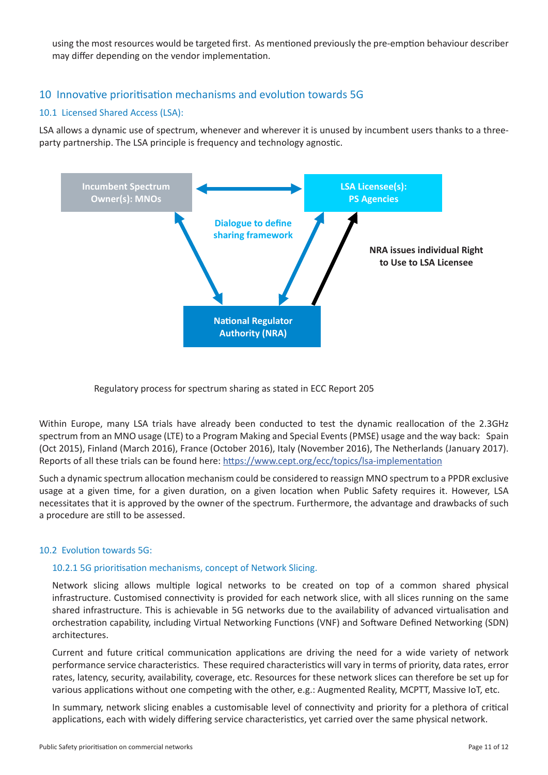using the most resources would be targeted first. As mentioned previously the pre-emption behaviour describer may differ depending on the vendor implementation.

# 10 Innovative prioritisation mechanisms and evolution towards 5G

#### 10.1 Licensed Shared Access (LSA):

LSA allows a dynamic use of spectrum, whenever and wherever it is unused by incumbent users thanks to a threeparty partnership. The LSA principle is frequency and technology agnostic.



Regulatory process for spectrum sharing as stated in ECC Report 205

Within Europe, many LSA trials have already been conducted to test the dynamic reallocation of the 2.3GHz spectrum from an MNO usage (LTE) to a Program Making and Special Events (PMSE) usage and the way back: Spain (Oct 2015), Finland (March 2016), France (October 2016), Italy (November 2016), The Netherlands (January 2017). Reports of all these trials can be found here: https://www.cept.org/ecc/topics/lsa-implementation

Such a dynamic spectrum allocation mechanism could be considered to reassign MNO spectrum to a PPDR exclusive usage at a given time, for a given duration, on a given location when Public Safety requires it. However, LSA necessitates that it is approved by the owner of the spectrum. Furthermore, the advantage and drawbacks of such a procedure are still to be assessed.

#### 10.2 Evolution towards 5G:

#### 10.2.1 5G prioritisation mechanisms, concept of Network Slicing.

Network slicing allows multiple logical networks to be created on top of a common shared physical infrastructure. Customised connectivity is provided for each network slice, with all slices running on the same shared infrastructure. This is achievable in 5G networks due to the availability of advanced virtualisation and orchestration capability, including Virtual Networking Functions (VNF) and Software Defined Networking (SDN) architectures.

Current and future critical communication applications are driving the need for a wide variety of network performance service characteristics. These required characteristics will vary in terms of priority, data rates, error rates, latency, security, availability, coverage, etc. Resources for these network slices can therefore be set up for various applications without one competing with the other, e.g.: Augmented Reality, MCPTT, Massive IoT, etc.

In summary, network slicing enables a customisable level of connectivity and priority for a plethora of critical applications, each with widely differing service characteristics, yet carried over the same physical network.